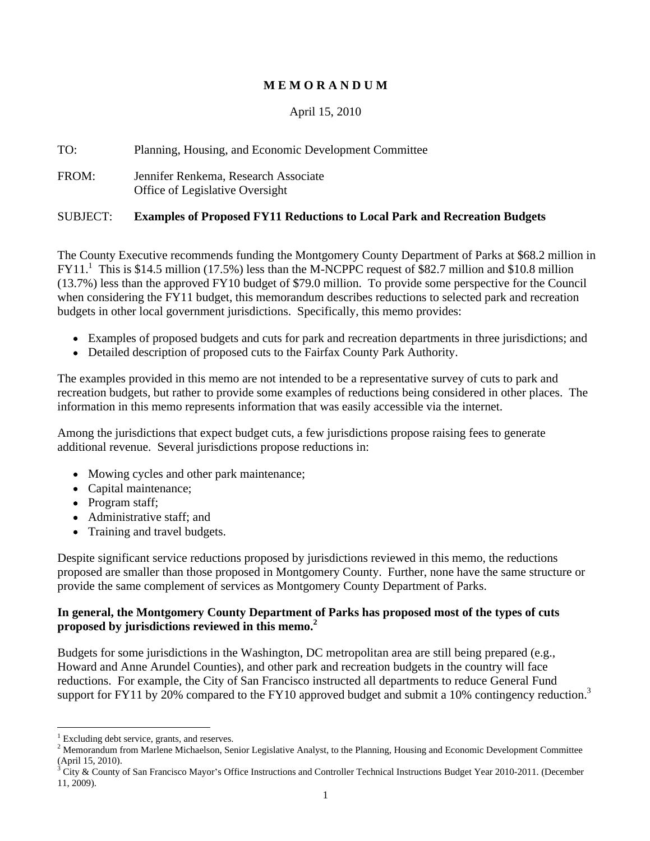# **M E M O R A N D U M**

# April 15, 2010

TO: Planning, Housing, and Economic Development Committee

FROM: Jennifer Renkema, Research Associate Office of Legislative Oversight

### SUBJECT: **Examples of Proposed FY11 Reductions to Local Park and Recreation Budgets**

The County Executive recommends funding the Montgomery County Department of Parks at \$68.2 million in FY11.1 This is \$14.5 million (17.5%) less than the M-NCPPC request of \$82.7 million and \$10.8 million (13.7%) less than the approved FY10 budget of \$79.0 million. To provide some perspective for the Council when considering the FY11 budget, this memorandum describes reductions to selected park and recreation budgets in other local government jurisdictions. Specifically, this memo provides:

- Examples of proposed budgets and cuts for park and recreation departments in three jurisdictions; and
- Detailed description of proposed cuts to the Fairfax County Park Authority.

The examples provided in this memo are not intended to be a representative survey of cuts to park and recreation budgets, but rather to provide some examples of reductions being considered in other places. The information in this memo represents information that was easily accessible via the internet.

Among the jurisdictions that expect budget cuts, a few jurisdictions propose raising fees to generate additional revenue. Several jurisdictions propose reductions in:

- Mowing cycles and other park maintenance;
- Capital maintenance;
- Program staff;  $\blacksquare$
- Administrative staff; and
- Training and travel budgets.

Despite significant service reductions proposed by jurisdictions reviewed in this memo, the reductions proposed are smaller than those proposed in Montgomery County. Further, none have the same structure or provide the same complement of services as Montgomery County Department of Parks.

## **In general, the Montgomery County Department of Parks has proposed most of the types of cuts proposed by jurisdictions reviewed in this memo.<sup>2</sup>**

Budgets for some jurisdictions in the Washington, DC metropolitan area are still being prepared (e.g., Howard and Anne Arundel Counties), and other park and recreation budgets in the country will face reductions. For example, the City of San Francisco instructed all departments to reduce General Fund support for FY11 by 20% compared to the FY10 approved budget and submit a 10% contingency reduction.<sup>3</sup>

 $\frac{1}{2}$  Evaluding daht service grante and receives

<sup>&</sup>lt;sup>1</sup> Excluding debt service, grants, and reserves.<br><sup>2</sup> Memorandum from Marlene Michaelson, Senior Legislative Analyst, to the Planning, Housing and Economic Development Committee (April 15, 2010).<br><sup>3</sup> City & County of San Francisco Mayor's Office Instructions and Controller Technical Instructions Budget Year 2010-2011. (December

<sup>11, 2009).</sup>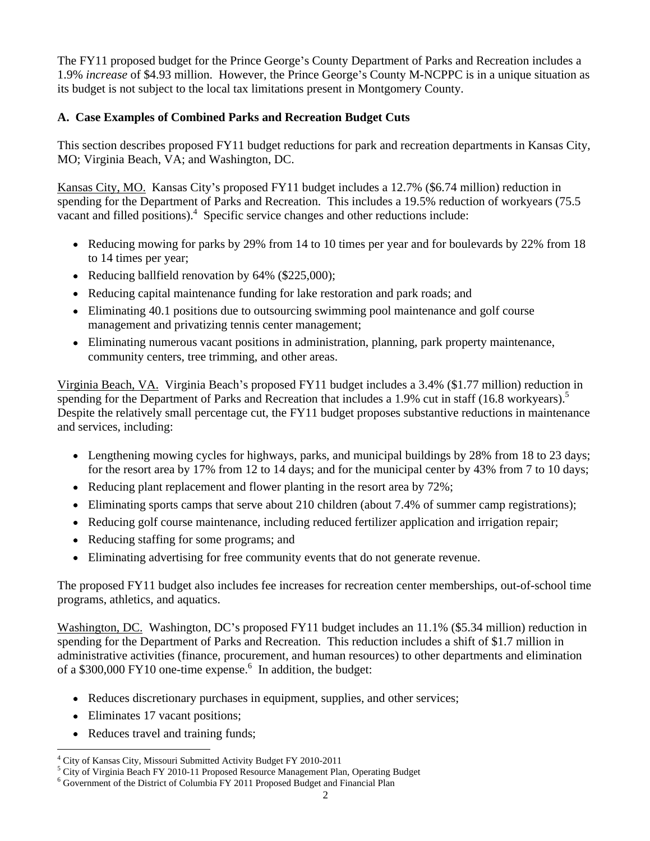The FY11 proposed budget for the Prince George's County Department of Parks and Recreation includes a 1.9% *increase* of \$4.93 million. However, the Prince George's County M-NCPPC is in a unique situation as its budget is not subject to the local tax limitations present in Montgomery County.

# **A. Case Examples of Combined Parks and Recreation Budget Cuts**

This section describes proposed FY11 budget reductions for park and recreation departments in Kansas City, MO; Virginia Beach, VA; and Washington, DC.<br>Kansas City, MO. Kansas City's proposed FY11 budget includes a 12.7% (\$6.74 million) reduction in

spending for the Department of Parks and Recreation. This includes a 19.5% reduction of workyears (75.5 vacant and filled positions).<sup>4</sup> Specific service changes and other reductions include:

- Reducing mowing for parks by 29% from 14 to 10 times per year and for boulevards by 22% from 18 to 14 times per year;
- Reducing ballfield renovation by  $64\%$  (\$225,000);
- Reducing capital maintenance funding for lake restoration and park roads; and
- Eliminating 40.1 positions due to outsourcing swimming pool maintenance and golf course management and privatizing tennis center management;
- Eliminating numerous vacant positions in administration, planning, park property maintenance, community centers, tree trimming, and other areas.

Virginia Beach, VA. Virginia Beach's proposed FY11 budget includes a 3.4% (\$1.77 million) reduction in spending for the Department of Parks and Recreation that includes a 1.9% cut in staff (16.8 workyears).<sup>5</sup> Despite the relatively small percentage cut, the FY11 budget proposes substantive reductions in maintenance and services, including:

- Lengthening mowing cycles for highways, parks, and municipal buildings by 28% from 18 to 23 days; for the resort area by 17% from 12 to 14 days; and for the municipal center by 43% from 7 to 10 days;
- Reducing plant replacement and flower planting in the resort area by 72%;
- Eliminating sports camps that serve about 210 children (about 7.4% of summer camp registrations);
- Reducing golf course maintenance, including reduced fertilizer application and irrigation repair;
- Reducing staffing for some programs; and
- Eliminating advertising for free community events that do not generate revenue.

The proposed FY11 budget also includes fee increases for recreation center memberships, out-of-school time programs, athletics, and aquatics.

Washington, DC. Washington, DC's proposed FY11 budget includes an 11.1% (\$5.34 million) reduction in spending for the Department of Parks and Recreation. This reduction includes a shift of \$1.7 million in administrative activities (finance, procurement, and human resources) to other departments and elimination of a \$300,000 FY10 one-time expense.<sup>6</sup> In addition, the budget:

- Reduces discretionary purchases in equipment, supplies, and other services;
- Eliminates 17 vacant positions;
- Reduces travel and training funds;

 <sup>4</sup> City of Kansas City, Missouri Submitted Activity Budget FY 2010-2011

<sup>&</sup>lt;sup>5</sup> City of Virginia Beach FY 2010-11 Proposed Resource Management Plan, Operating Budget  $\frac{6}{5}$  Covernment of the District of Columbia EV 2011 Proposed Budget and Einapoial Plan

 $6$  Government of the District of Columbia FY 2011 Proposed Budget and Financial Plan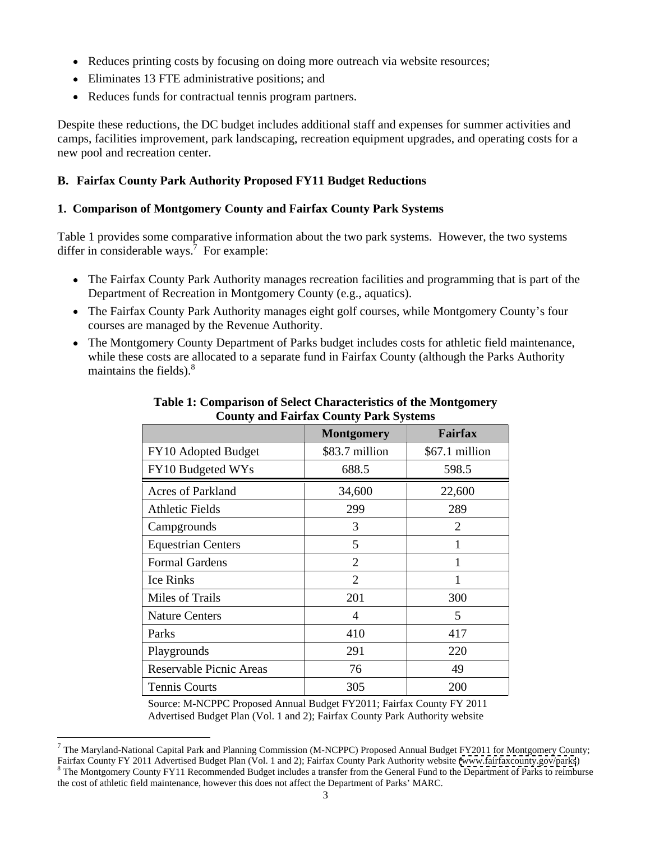- Reduces printing costs by focusing on doing more outreach via website resources;
- Eliminates 13 FTE administrative positions; and
- Reduces funds for contractual tennis program partners.

Despite these reductions, the DC budget includes additional staff and expenses for summer activities and camps, facilities improvement, park landscaping, recreation equipment upgrades, and operating costs for a new pool and recreation center.

## **B. Fairfax County Park Authority Proposed FY11 Budget Reductions**

### **1. Comparison of Montgomery County and Fairfax County Park Systems**

Table 1 provides some comparative information about the two park systems. However, the two systems differ in considerable ways.<sup>7</sup> For example: For example:

- The Fairfax County Park Authority manages recreation facilities and programming that is part of the Department of Recreation in Montgomery County (e.g., aquatics).
- The Fairfax County Park Authority manages eight golf courses, while Montgomery County's four courses are managed by the Revenue Authority.
- The Montgomery County Department of Parks budget includes costs for athletic field maintenance, while these costs are allocated to a separate fund in Fairfax County (although the Parks Authority maintains the fields). $8\degree$

|                           | Montgomery     | Fairfax        |
|---------------------------|----------------|----------------|
| FY10 Adopted Budget       | \$83.7 million | \$67.1 million |
| FY10 Budgeted WYs         | 688.5          | 598.5          |
| Acres of Parkland         | 34,600         | 22,600         |
| <b>Athletic Fields</b>    | 299            | 289            |
| Campgrounds               |                |                |
| <b>Equestrian Centers</b> |                |                |
| Formal Gardens            |                |                |
| Ice Rinks                 |                |                |
| Miles of Trails           | 201            | 300            |
| <b>Nature Centers</b>     |                |                |
| Parks                     | 410            | 417            |
| Playgrounds               | 291            | 220            |
| Reservable Picnic Areas   | 76             | 49             |
| Tennis Courts             | 305            | 200            |

**Table 1: Comparison of Select Characteristics of the Montgomery County and Fairfax County Park Systems**

Source: M-NCPPC Proposed Annual Budget FY2011; Fairfax County FY 2011 Advertised Budget Plan (Vol. 1 and 2); Fairfax County Park Authority website

 <sup>7</sup> The Maryland-National Capital Park and Planning Commission (M-NCPPC) Proposed Annual Budget FY2011 for Montgomery County; Fairfax County FY 2011 Advertised Budget Plan (Vol. 1 and 2); Fairfax County Park Authority website [\(www.fairfaxcounty.gov/parks](http://www.fairfaxcounty.gov/parks)) <sup>8</sup> The Montgomery County FY11 Recommended Budget includes a transfer from the General Fund to the Department of Parks to reimburse the cost of athletic field maintenance, however this does not affect the Department of Parks' MARC.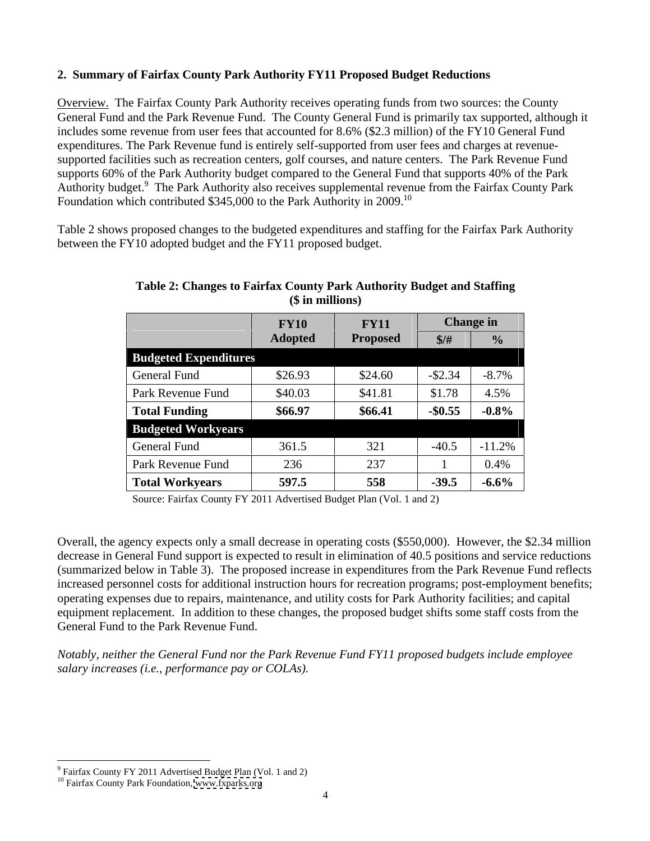# **2. Summary of Fairfax County Park Authority FY11 Proposed Budget Reductions**

Overview. The Fairfax County Park Authority receives operating funds from two sources: the County General Fund and the Park Revenue Fund. The County General Fund is primarily tax supported, although it includes some revenue from user fees that accounted for 8.6% (\$2.3 million) of the FY10 General Fund expenditures. The Park Revenue fund is entirely self-supported from user fees and charges at revenue supported facilities such as recreation centers, golf courses, and nature centers. The Park Revenue Fund supports 60% of the Park Authority budget compared to the General Fund that supports 40% of the Park Authority budget.<sup>9</sup> The Park Authority also receives supplemental revenue from the Fairfax County Park Foundation which contributed \$345,000 to the Park Authority in 2009.10

Table 2 shows proposed changes to the budgeted expenditures and staffing for the Fairfax Park Authority between the FY10 adopted budget and the FY11 proposed budget.

|                              | <b>FY10</b> | <b>FY11</b>    | Change in           |          |
|------------------------------|-------------|----------------|---------------------|----------|
|                              |             |                |                     |          |
|                              | Adopter     | <b>Propose</b> |                     |          |
| <b>Budgeted Expenditures</b> |             |                |                     |          |
| General Fund                 | \$26.93     | \$24.60        | $-$ \$2.34          | $-8.7\%$ |
| Park Revenue Fund            | \$40.03     | \$41.81        | \$1.78              | 4.5%     |
| <b>Total Funding</b>         | \$66.97     | \$66.41        | $-$ \$0.55 $-$ 0.8% |          |
| <b>Budgeted Workyears</b>    |             |                |                     |          |
| General Fund                 | 361.5       | ⊥ ∠ر           | -40.J               | $-11.2%$ |
| Park Revenue Fund            | 236         | 227            |                     | 0.4%     |
| Total Workyears              | 597.5       | 558            | $-39.5$             | $-6.6\%$ |

**Table 2: Changes to Fairfax County Park Authority Budget and Staffing (\$ in millions)**

Source: Fairfax County FY 2011 Advertised Budget Plan (Vol. 1 and 2)

Overall, the agency expects only a small decrease in operating costs (\$550,000). However, the \$2.34 million decrease in General Fund support is expected to result in elimination of 40.5 positions and service reductions (summarized below in Table 3). The proposed increase in expenditures from the Park Revenue Fund reflects increased personnel costs for additional instruction hours for recreation programs; post-employment benefits; operating expenses due to repairs, maintenance, and utility costs for Park Authority facilities; and capital equipment replacement. In addition to these changes, the proposed budget shifts some staff costs from the General Fund to the Park Revenue Fund.

*Notably, neither the General Fund nor the Park Revenue Fund FY11 proposed budgets include employee salary increases (i.e., performance pay or COLAs).*

 $\frac{9 \text{ Feifay County EV 20111} \text{ Advanced Budget Plane (Vol 1 and 2)}}{9 \text{ Feifay County EV 2011} \text{ Advanced Budget Plane (Vol 1 and 2)}}$ <sup>9</sup> Fairfax County FY 2011 Advertised Budget Plan (Vol. 1 and 2) <sup>10</sup> Fairfax County Park Foundation, [www.fxparks.org](http://www.fxparks.org)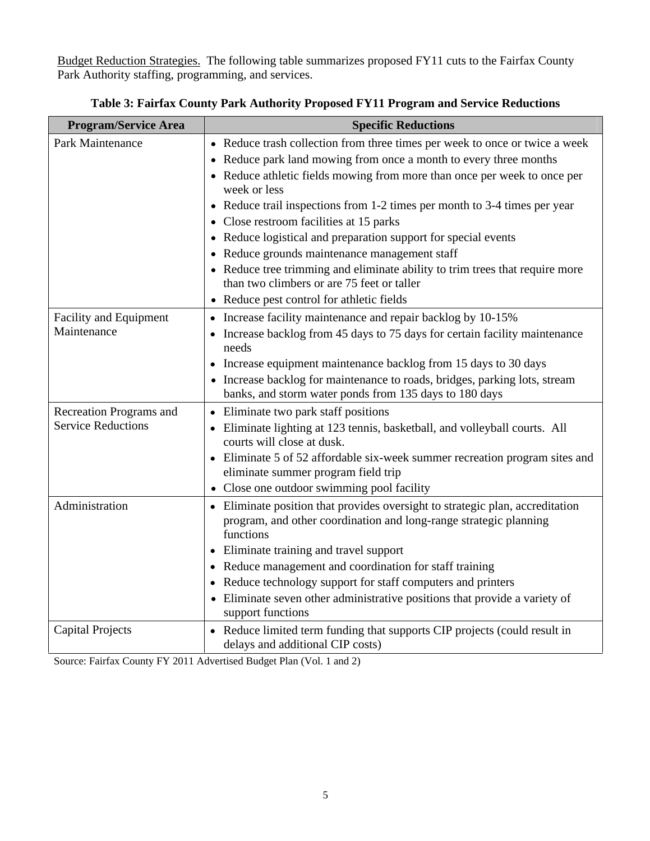Budget Reduction Strategies. The following table summarizes proposed FY11 cuts to the Fairfax County Park Authority staffing, programming, and services.

| <b>Program/Service Area</b>                  | <b>Specific Reductions</b>                                                                               |
|----------------------------------------------|----------------------------------------------------------------------------------------------------------|
| Park Maintenance                             | • Reduce trash collection from three times per week to once or twice a week                              |
|                                              | • Reduce park land mowing from once a month to every three months                                        |
|                                              | • Reduce athletic fields mowing from more than once per week to once per<br>week or less                 |
|                                              | • Reduce trail inspections from 1-2 times per month to 3-4 times per year                                |
|                                              | • Close restroom facilities at 15 parks                                                                  |
|                                              | • Reduce logistical and preparation support for special events                                           |
|                                              | • Reduce grounds maintenance management staff                                                            |
|                                              | • Reduce tree trimming and eliminate ability to trim trees that require more                             |
|                                              | than two climbers or are 75 feet or taller                                                               |
|                                              | • Reduce pest control for athletic fields                                                                |
| <b>Facility and Equipment</b><br>Maintenance | • Increase facility maintenance and repair backlog by 10-15%                                             |
|                                              | • Increase backlog from 45 days to 75 days for certain facility maintenance<br>needs                     |
|                                              | • Increase equipment maintenance backlog from 15 days to 30 days                                         |
|                                              | • Increase backlog for maintenance to roads, bridges, parking lots, stream                               |
|                                              | banks, and storm water ponds from 135 days to 180 days                                                   |
| Recreation Programs and                      | • Eliminate two park staff positions                                                                     |
| <b>Service Reductions</b>                    | • Eliminate lighting at 123 tennis, basketball, and volleyball courts. All<br>courts will close at dusk. |
|                                              | • Eliminate 5 of 52 affordable six-week summer recreation program sites and                              |
|                                              | eliminate summer program field trip                                                                      |
|                                              | • Close one outdoor swimming pool facility                                                               |
| Administration                               | • Eliminate position that provides oversight to strategic plan, accreditation                            |
|                                              | program, and other coordination and long-range strategic planning<br>functions                           |
|                                              | • Eliminate training and travel support                                                                  |
|                                              | • Reduce management and coordination for staff training                                                  |
|                                              | • Reduce technology support for staff computers and printers                                             |
|                                              | • Eliminate seven other administrative positions that provide a variety of                               |
|                                              | support functions                                                                                        |
| <b>Capital Projects</b>                      | • Reduce limited term funding that supports CIP projects (could result in                                |
|                                              | delays and additional CIP costs)                                                                         |

**Table 3: Fairfax County Park Authority Proposed FY11 Program and Service Reductions**

Source: Fairfax County FY 2011 Advertised Budget Plan (Vol. 1 and 2)